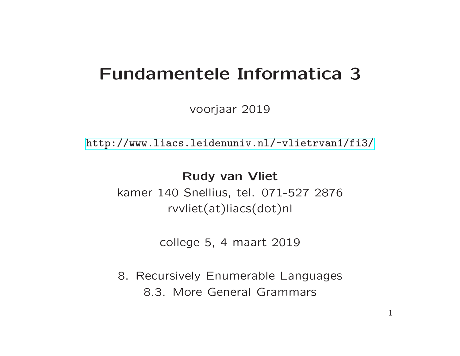## Fundamentele Informatica 3

voorjaar 2019

[http://www.liacs.leidenuniv.nl/](http://www.liacs.leidenuniv.nl/~vlietrvan1/fi3/) ~vlietrvan1/fi3/

#### Rudy van Vliet

kamer 140 Snellius, tel. 071-527 2876 rvvliet(at)liacs(dot)nl

college 5, 4 maart 2019

8. Recursively Enumerable Languages 8.3. More General Grammars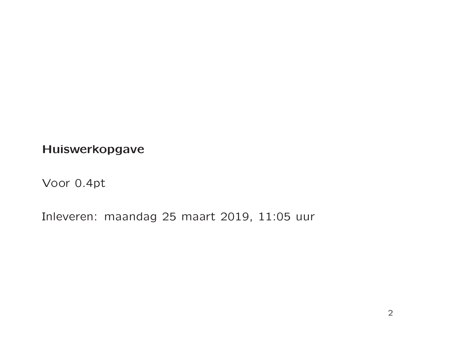Huiswerkopgave

Voor 0.4pt

Inleveren: maandag 25 maart 2019, 11:05 uur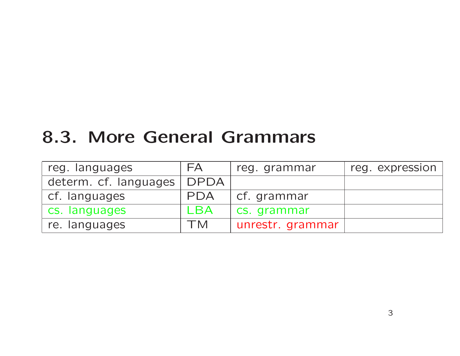# 8.3. More General Grammars

| reg. languages        | FA          | reg. grammar     | reg. expression |
|-----------------------|-------------|------------------|-----------------|
| determ. cf. languages | <b>DPDA</b> |                  |                 |
| cf. languages         | <b>PDA</b>  | cf. grammar      |                 |
| cs. languages         | LBA         | cs. grammar      |                 |
| re. languages         | TM          | unrestr. grammar |                 |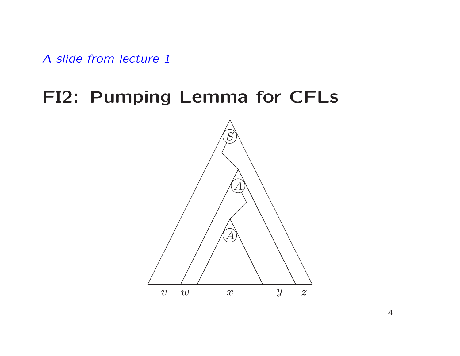A slide from lecture 1

### FI2: Pumping Lemma for CFLs

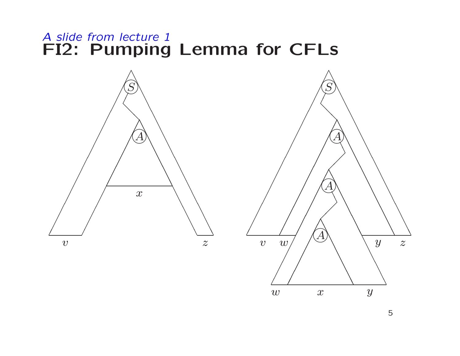#### A slide from lecture 1 FI2: Pumping Lemma for CFLs



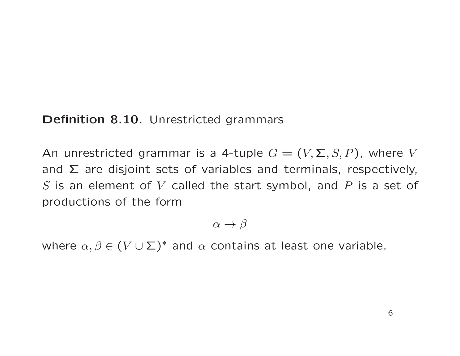#### Definition 8.10. Unrestricted grammars

An unrestricted grammar is a 4-tuple  $G = (V, \Sigma, S, P)$ , where V and  $\Sigma$  are disjoint sets of variables and terminals, respectively, S is an element of V called the start symbol, and P is a set of productions of the form

$$
\alpha \to \beta
$$

where  $\alpha, \beta \in (V \cup \Sigma)^*$  and  $\alpha$  contains at least one variable.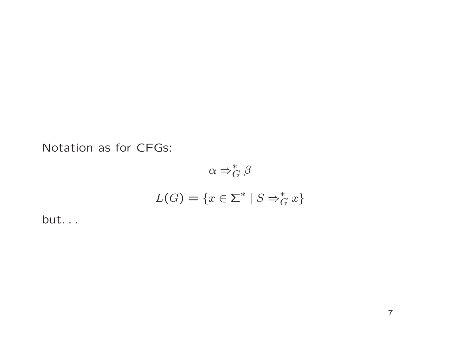Notation as for CFGs:

$$
\alpha \Rightarrow_G^* \beta
$$
  

$$
L(G) = \{ x \in \Sigma^* \mid S \Rightarrow_G^* x \}
$$

but. . .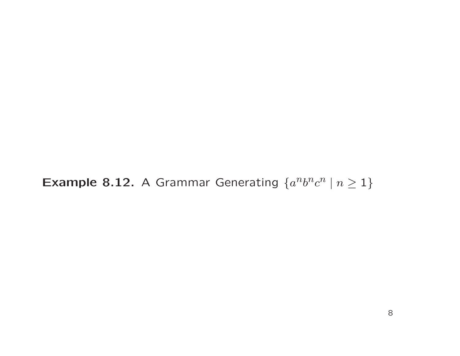**Example 8.12.** A Grammar Generating  $\{a^n b^n c^n \mid n \ge 1\}$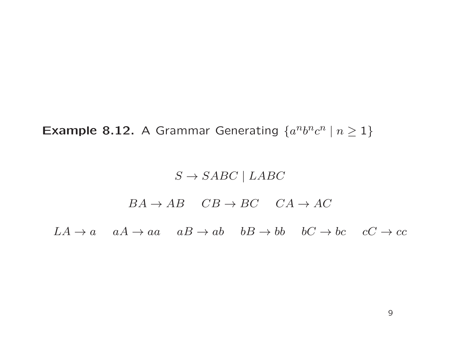**Example 8.12.** A Grammar Generating  $\{a^n b^n c^n \mid n \geq 1\}$ 

#### $S \rightarrow SABC \mid LABC$

#### $BA \rightarrow AB$   $CB \rightarrow BC$   $CA \rightarrow AC$

 $LA \rightarrow a$   $aA \rightarrow aa$   $aB \rightarrow ab$   $bB \rightarrow bb$   $bC \rightarrow bc$   $cC \rightarrow cc$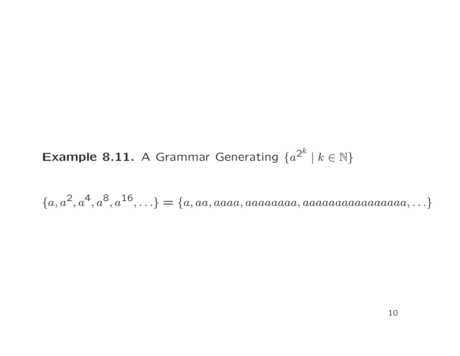**Example 8.11.** A Grammar Generating  $\{a^{2^k} | k \in \mathbb{N}\}\$ 

 ${a, a<sup>2</sup>, a<sup>4</sup>, a<sup>8</sup>, a<sup>16</sup>, \ldots} = {a, aa, aaaa, aaaaaa} a, aaaaaaaaaa} a, \ldots}$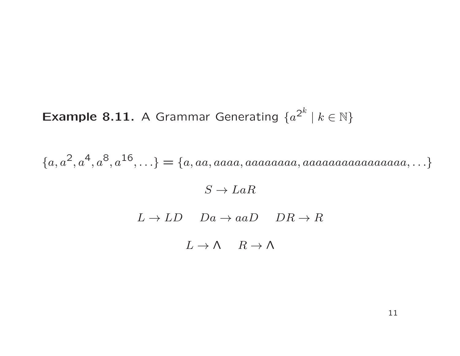**Example 8.11.** A Grammar Generating  $\{a^{2^k} \mid k \in \mathbb{N}\}\$ 

 ${a, a<sup>2</sup>, a<sup>4</sup>, a<sup>8</sup>, a<sup>16</sup>, \ldots} = {a, aa, aaaa, aaaaaa} a, aaaaaaaaaa aaaaa} a, \ldots}$ 

 $S \to LaR$ 

 $L \to LD$   $Da \to aaD$   $DR \to R$ 

 $L \to \Lambda$   $R \to \Lambda$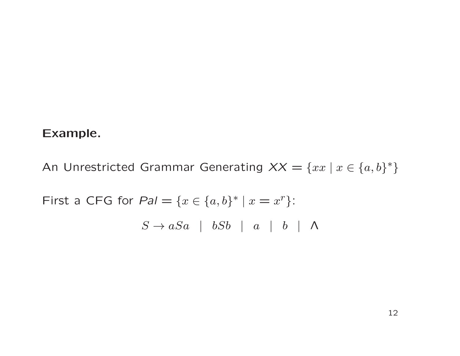#### Example.

An Unrestricted Grammar Generating  $XX = \{xx \mid x \in \{a, b\}^*\}$ First a CFG for  $Pal = \{x \in \{a,b\}^* \mid x = x^r\}$ :  $S \rightarrow aSa$  |  $bSb$  | a | b |  $\Lambda$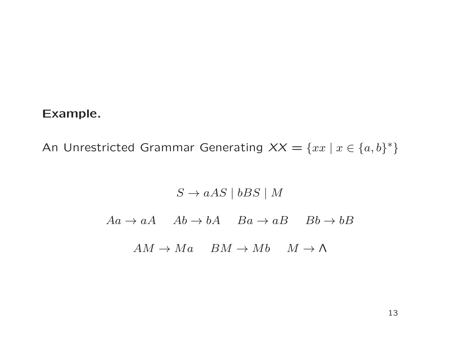#### Example.

An Unrestricted Grammar Generating  $XX = \{xx \mid x \in \{a, b\}^*\}$ 

 $S \rightarrow aAS \mid bBS \mid M$  $Aa \rightarrow aA \quad Ab \rightarrow bA \quad Ba \rightarrow aB \quad Bb \rightarrow bB$  $AM \rightarrow Ma$   $BM \rightarrow Mb$   $M \rightarrow \Lambda$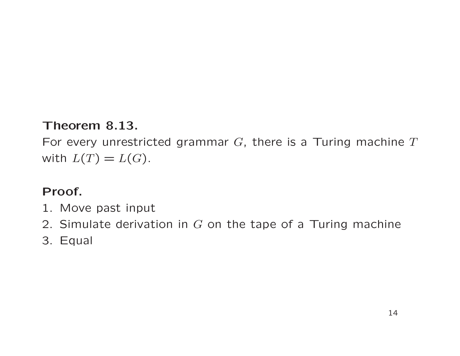#### Theorem 8.13.

For every unrestricted grammar  $G$ , there is a Turing machine  $T$ with  $L(T) = L(G)$ .

#### Proof.

- 1. Move past input
- 2. Simulate derivation in  $G$  on the tape of a Turing machine
- 3. Equal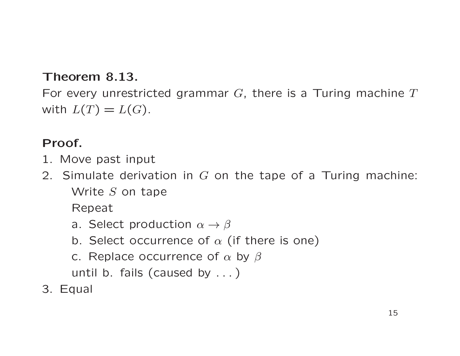#### Theorem 8.13.

For every unrestricted grammar  $G$ , there is a Turing machine  $T$ with  $L(T) = L(G)$ .

#### Proof.

- 1. Move past input
- 2. Simulate derivation in  $G$  on the tape of a Turing machine: Write S on tape

Repeat

- a. Select production  $\alpha \rightarrow \beta$
- b. Select occurrence of  $\alpha$  (if there is one)
- c. Replace occurrence of  $\alpha$  by  $\beta$

until b. fails (caused by . . . )

3. Equal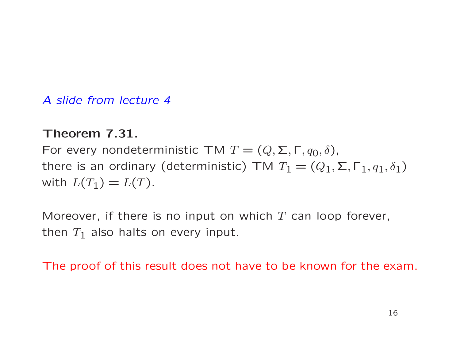#### A slide from lecture 4

#### Theorem 7.31.

For every nondeterministic TM  $T = (Q, \Sigma, \Gamma, q_0, \delta)$ , there is an ordinary (deterministic) TM  $T_1 = (Q_1, \Sigma, \Gamma_1, q_1, \delta_1)$ with  $L(T_1) = L(T)$ .

Moreover, if there is no input on which  $T$  can loop forever, then  $T_1$  also halts on every input.

The proof of this result does not have to be known for the exam.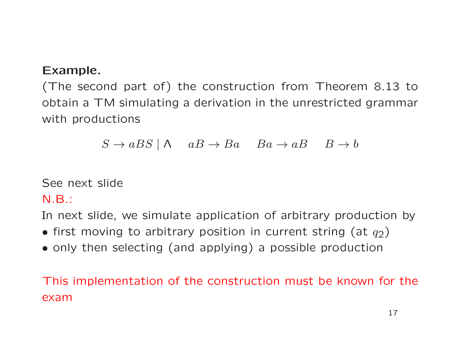#### Example.

(The second part of) the construction from Theorem 8.13 to obtain <sup>a</sup> TM simulating <sup>a</sup> derivation in the unrestricted grammar with productions

$$
S \to aBS \mid \Lambda \quad aB \to Ba \quad Ba \to aB \quad B \to b
$$

See next slide

N.B.:

In next slide, we simulate application of arbitrary production by

- first moving to arbitrary position in current string (at  $q_2$ )
- only then selecting (and applying) <sup>a</sup> possible production

This implementation of the construction must be known for th e exam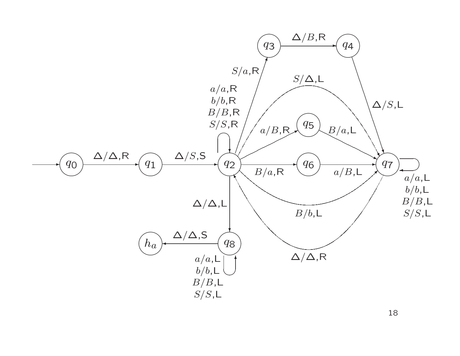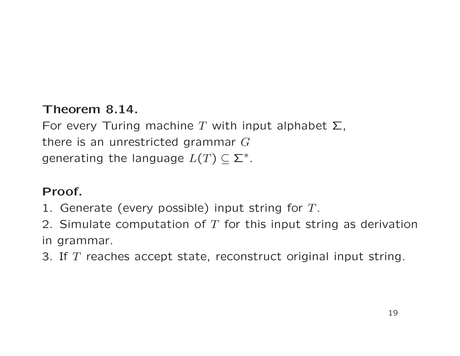#### Theorem 8.14.

For every Turing machine T with input alphabet  $\Sigma$ , there is an unrestricted grammar  $G$ generating the language  $L(T) \subseteq \Sigma^*$ .

#### Proof.

- 1. Generate (every possible) input string for  $T$ .
- 2. Simulate computation of  $T$  for this input string as derivation in grammar.
- 3. If  $T$  reaches accept state, reconstruct original input string.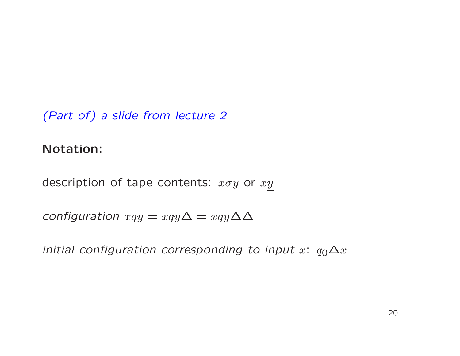(Part of) a slide from lecture 2

#### Notation:

description of tape contents:  $x\underline{\sigma}y$  or  $xy$ 

configuration  $xqy = xqy\Delta = xqy\Delta\Delta$ 

initial configuration corresponding to input  $x$ :  $q_0\Delta x$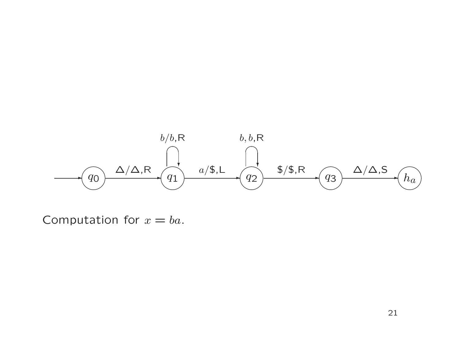

Computation for  $x = ba$ .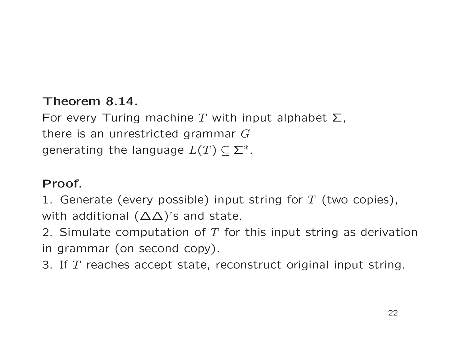#### Theorem 8.14.

For every Turing machine T with input alphabet  $\Sigma$ , there is an unrestricted grammar G generating the language  $L(T) \subseteq \Sigma^*$ .

#### Proof.

1. Generate (every possible) input string for  $T$  (two copies), with additional  $(\Delta \Delta)'$ s and state.

2. Simulate computation of  $T$  for this input string as derivation in grammar (on second copy).

3. If  $T$  reaches accept state, reconstruct original input string.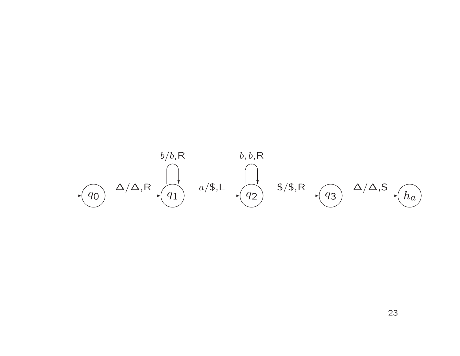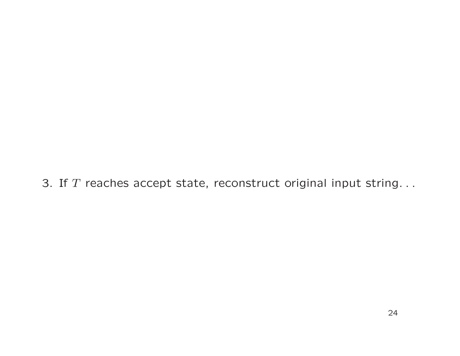3. If  $T$  reaches accept state, reconstruct original input string. . .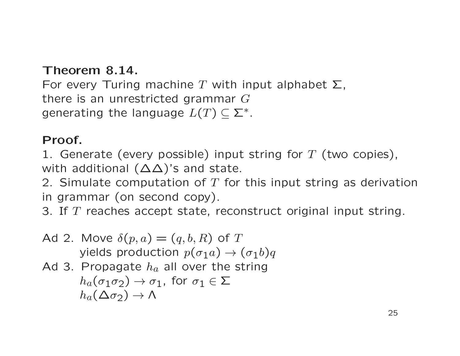#### Theorem 8.14.

For every Turing machine T with input alphabet  $\Sigma$ , there is an unrestricted grammar  $G$ generating the language  $L(T) \subset \Sigma^*$ .

#### Proof.

1. Generate (every possible) input string for  $T$  (two copies), with additional (∆∆)'s and state.

2. Simulate computation of  $T$  for this input string as derivation in grammar (on second copy).

3. If  $T$  reaches accept state, reconstruct original input string.

Ad 2. Move 
$$
\delta(p, a) = (q, b, R)
$$
 of  $T$ 

\nyields production  $p(\sigma_1 a) \rightarrow (\sigma_1 b)q$ 

Ad 3. Propagate 
$$
h_a
$$
 all over the string

\n
$$
h_a(\sigma_1 \sigma_2) \to \sigma_1
$$
, for  $\sigma_1 \in \Sigma$ 

$$
h_a(\Delta \sigma_2) \rightarrow \Lambda
$$